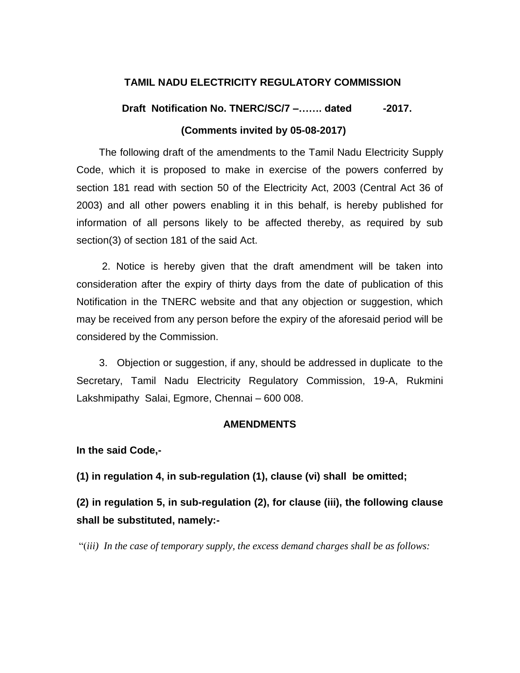### **TAMIL NADU ELECTRICITY REGULATORY COMMISSION**

# **Draft** Notification No. TNERC/SC/7 –....... dated -2017.  **(Comments invited by 05-08-2017)**

 The following draft of the amendments to the Tamil Nadu Electricity Supply Code, which it is proposed to make in exercise of the powers conferred by section 181 read with section 50 of the Electricity Act, 2003 (Central Act 36 of 2003) and all other powers enabling it in this behalf, is hereby published for information of all persons likely to be affected thereby, as required by sub section(3) of section 181 of the said Act.

 2. Notice is hereby given that the draft amendment will be taken into consideration after the expiry of thirty days from the date of publication of this Notification in the TNERC website and that any objection or suggestion, which may be received from any person before the expiry of the aforesaid period will be considered by the Commission.

 3. Objection or suggestion, if any, should be addressed in duplicate to the Secretary, Tamil Nadu Electricity Regulatory Commission, 19-A, Rukmini Lakshmipathy Salai, Egmore, Chennai – 600 008.

#### **AMENDMENTS**

**In the said Code,-**

**(1) in regulation 4, in sub-regulation (1), clause (vi) shall be omitted;**

**(2) in regulation 5, in sub-regulation (2), for clause (iii), the following clause shall be substituted, namely:-**

"(*iii) In the case of temporary supply, the excess demand charges shall be as follows:*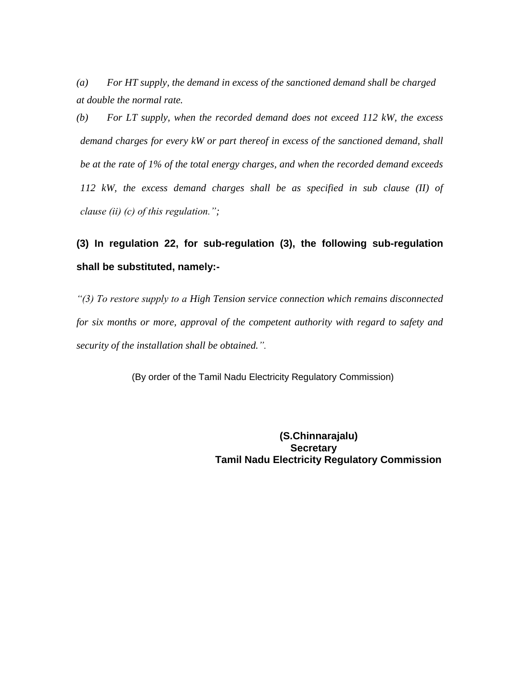*(a) For HT supply, the demand in excess of the sanctioned demand shall be charged at double the normal rate.*

*(b) For LT supply, when the recorded demand does not exceed 112 kW, the excess demand charges for every kW or part thereof in excess of the sanctioned demand, shall be at the rate of 1% of the total energy charges, and when the recorded demand exceeds 112 kW, the excess demand charges shall be as specified in sub clause (II) of clause (ii) (c) of this regulation.";*

# **(3) In regulation 22, for sub-regulation (3), the following sub-regulation shall be substituted, namely:-**

*"(3) To restore supply to a High Tension service connection which remains disconnected for six months or more, approval of the competent authority with regard to safety and security of the installation shall be obtained.".*

(By order of the Tamil Nadu Electricity Regulatory Commission)

 **(S.Chinnarajalu) Secretary Tamil Nadu Electricity Regulatory Commission**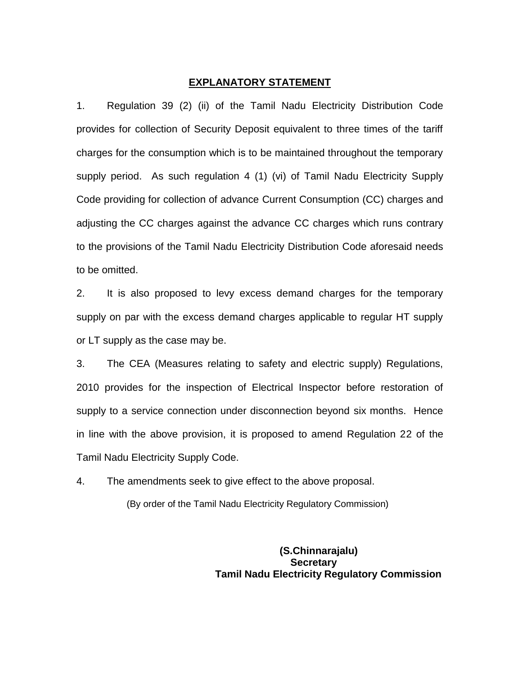#### **EXPLANATORY STATEMENT**

1. Regulation 39 (2) (ii) of the Tamil Nadu Electricity Distribution Code provides for collection of Security Deposit equivalent to three times of the tariff charges for the consumption which is to be maintained throughout the temporary supply period. As such regulation 4 (1) (vi) of Tamil Nadu Electricity Supply Code providing for collection of advance Current Consumption (CC) charges and adjusting the CC charges against the advance CC charges which runs contrary to the provisions of the Tamil Nadu Electricity Distribution Code aforesaid needs to be omitted.

2. It is also proposed to levy excess demand charges for the temporary supply on par with the excess demand charges applicable to regular HT supply or LT supply as the case may be.

3. The CEA (Measures relating to safety and electric supply) Regulations, 2010 provides for the inspection of Electrical Inspector before restoration of supply to a service connection under disconnection beyond six months. Hence in line with the above provision, it is proposed to amend Regulation 22 of the Tamil Nadu Electricity Supply Code.

4. The amendments seek to give effect to the above proposal.

(By order of the Tamil Nadu Electricity Regulatory Commission)

 **(S.Chinnarajalu) Secretary Tamil Nadu Electricity Regulatory Commission**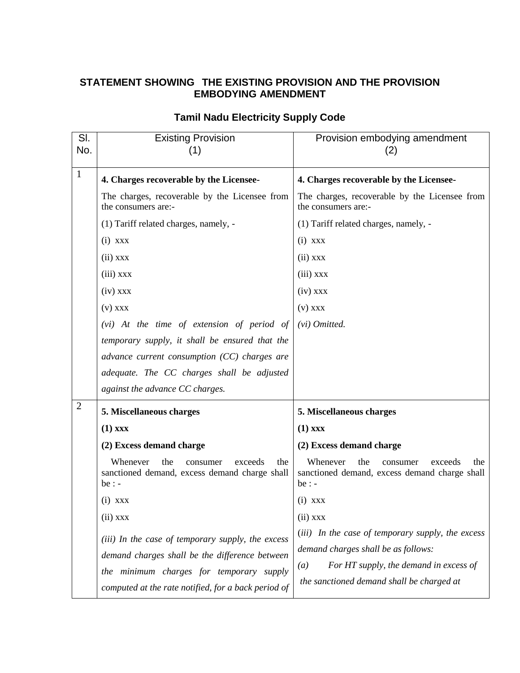## **STATEMENT SHOWING THE EXISTING PROVISION AND THE PROVISION EMBODYING AMENDMENT**

| SI.<br>No.     | <b>Existing Provision</b><br>(1)                                                                                                                                                                       | Provision embodying amendment<br>(2)                                                                                                                                                   |
|----------------|--------------------------------------------------------------------------------------------------------------------------------------------------------------------------------------------------------|----------------------------------------------------------------------------------------------------------------------------------------------------------------------------------------|
| $\mathbf{1}$   | 4. Charges recoverable by the Licensee-                                                                                                                                                                | 4. Charges recoverable by the Licensee-                                                                                                                                                |
|                | The charges, recoverable by the Licensee from<br>the consumers are:-                                                                                                                                   | The charges, recoverable by the Licensee from<br>the consumers are:-                                                                                                                   |
|                | (1) Tariff related charges, namely, -                                                                                                                                                                  | (1) Tariff related charges, namely, -                                                                                                                                                  |
|                | $(i)$ xxx                                                                                                                                                                                              | $(i)$ xxx                                                                                                                                                                              |
|                | $(ii)$ xxx                                                                                                                                                                                             | $(ii)$ xxx                                                                                                                                                                             |
|                | $(iii)$ xxx                                                                                                                                                                                            | $(iii)$ xxx                                                                                                                                                                            |
|                | $(iv)$ xxx                                                                                                                                                                                             | $(iv)$ xxx                                                                                                                                                                             |
|                | $(v)$ xxx                                                                                                                                                                                              | $(v)$ $XXX$                                                                                                                                                                            |
|                | (vi) At the time of extension of period of                                                                                                                                                             | (vi) Omitted.                                                                                                                                                                          |
|                | temporary supply, it shall be ensured that the                                                                                                                                                         |                                                                                                                                                                                        |
|                | advance current consumption $(CC)$ charges are                                                                                                                                                         |                                                                                                                                                                                        |
|                | adequate. The CC charges shall be adjusted                                                                                                                                                             |                                                                                                                                                                                        |
|                | against the advance CC charges.                                                                                                                                                                        |                                                                                                                                                                                        |
| $\overline{2}$ | 5. Miscellaneous charges                                                                                                                                                                               | 5. Miscellaneous charges                                                                                                                                                               |
|                | $(1)$ xxx                                                                                                                                                                                              | $(1)$ xxx                                                                                                                                                                              |
|                | (2) Excess demand charge                                                                                                                                                                               | (2) Excess demand charge                                                                                                                                                               |
|                | Whenever<br>the<br>exceeds<br>the<br>consumer<br>sanctioned demand, excess demand charge shall<br>$be: -$                                                                                              | Whenever<br>the<br>the<br>consumer<br>exceeds<br>sanctioned demand, excess demand charge shall<br>$be: -$                                                                              |
|                | $(i)$ XXX                                                                                                                                                                                              | $(i)$ xxx                                                                                                                                                                              |
|                | $(ii)$ xxx                                                                                                                                                                                             | $(ii)$ xxx                                                                                                                                                                             |
|                | (iii) In the case of temporary supply, the excess<br>demand charges shall be the difference between<br>the minimum charges for temporary supply<br>computed at the rate notified, for a back period of | (iii) In the case of temporary supply, the excess<br>demand charges shall be as follows:<br>For HT supply, the demand in excess of<br>(a)<br>the sanctioned demand shall be charged at |

## **Tamil Nadu Electricity Supply Code**